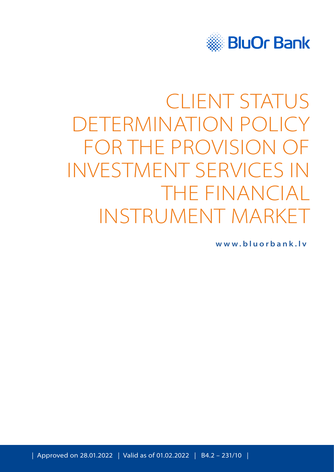

# CLIENT STATUS DETERMINATION POLICY FOR THE PROVISION OF INVESTMENT SERVICES IN THE FINANCIAL INSTRUMENT MARKE

**[www.bluorbank.lv](https://www.bluorbank.lv/en/index)**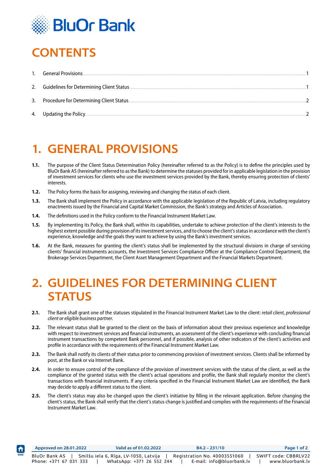

## <span id="page-1-0"></span>**CONTENTS**

| 1 <sup>1</sup> |  |
|----------------|--|
|                |  |
|                |  |
|                |  |

# **1. GENERAL PROVISIONS**

- **1.1.** The purpose of the Client Status Determination Policy (hereinafter referred to as the Policy) is to define the principles used by BluOr Bank AS (hereinafter referred to as the Bank) to determine the statuses provided for in applicable legislation in the provision of investment services for clients who use the investment services provided by the Bank, thereby ensuring protection of clients' interests.
- **1.2.** The Policy forms the basis for assigning, reviewing and changing the status of each client.
- **1.3.** The Bank shall implement the Policy in accordance with the applicable legislation of the Republic of Latvia, including regulatory enactments issued by the Financial and Capital Market Commission, the Bank's strategy and Articles of Association.
- **1.4.** The definitions used in the Policy conform to the Financial Instrument Market Law.
- **1.5.** By implementing its Policy, the Bank shall, within its capabilities, undertake to achieve protection of the client's interests to the highest extent possible during provision of its investment services, and to choose the client's status in accordance with the client's experience, knowledge and the goals they want to achieve by using the Bank's investment services.
- **1.6.** At the Bank, measures for granting the client's status shall be implemented by the structural divisions in charge of servicing clients' financial instruments accounts, the Investment Services Compliance Officer at the Compliance Control Department, the Brokerage Services Department, the Client Asset Management Department and the Financial Markets Department.

#### **2. GUIDELINES FOR DETERMINING CLIENT STATUS**

- **2.1.** The Bank shall grant one of the statuses stipulated in the Financial Instrument Market Law to the client: *retail client, professional client or eligible business partner*.
- **2.2.** The relevant status shall be granted to the client on the basis of information about their previous experience and knowledge with respect to investment services and financial instruments, an assessment of the client's experience with concluding financial instrument transactions by competent Bank personnel, and if possible, analysis of other indicators of the client's activities and profile in accordance with the requirements of the Financial Instrument Market Law.
- **2.3.** The Bank shall notify its clients of their status prior to commencing provision of investment services. Clients shall be informed by post, at the Bank or via Internet Bank.
- **2.4.** In order to ensure control of the compliance of the provision of investment services with the status of the client, as well as the compliance of the granted status with the client's actual operations and profile, the Bank shall regularly monitor the client's transactions with financial instruments. If any criteria specified in the Financial Instrument Market Law are identified, the Bank may decide to apply a different status to the client.
- **2.5.** The client's status may also be changed upon the client's initiative by filling in the relevant application. Before changing the client's status, the Bank shall verify that the client's status change is justified and complies with the requirements of the Financial Instrument Market Law.